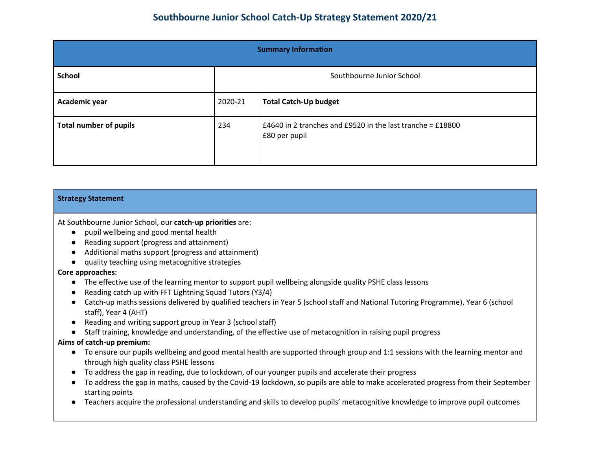| <b>Summary Information</b>    |                                         |                                                                             |  |
|-------------------------------|-----------------------------------------|-----------------------------------------------------------------------------|--|
| <b>School</b>                 | Southbourne Junior School               |                                                                             |  |
| Academic year                 | <b>Total Catch-Up budget</b><br>2020-21 |                                                                             |  |
| <b>Total number of pupils</b> | 234                                     | £4640 in 2 tranches and £9520 in the last tranche = £18800<br>£80 per pupil |  |

| <b>Strategy Statement</b>                                                                                                                                                                                                                                                                                                                                                                                                                                                                                                                                                                                               |
|-------------------------------------------------------------------------------------------------------------------------------------------------------------------------------------------------------------------------------------------------------------------------------------------------------------------------------------------------------------------------------------------------------------------------------------------------------------------------------------------------------------------------------------------------------------------------------------------------------------------------|
| At Southbourne Junior School, our catch-up priorities are:<br>pupil wellbeing and good mental health<br>$\bullet$<br>Reading support (progress and attainment)<br>Additional maths support (progress and attainment)<br>$\bullet$                                                                                                                                                                                                                                                                                                                                                                                       |
| quality teaching using metacognitive strategies<br>Core approaches:<br>The effective use of the learning mentor to support pupil wellbeing alongside quality PSHE class lessons<br>$\bullet$<br>Reading catch up with FFT Lightning Squad Tutors (Y3/4)<br>$\bullet$<br>Catch-up maths sessions delivered by qualified teachers in Year 5 (school staff and National Tutoring Programme), Year 6 (school<br>staff), Year 4 (AHT)<br>Reading and writing support group in Year 3 (school staff)<br>Staff training, knowledge and understanding, of the effective use of metacognition in raising pupil progress          |
| Aims of catch-up premium:<br>To ensure our pupils wellbeing and good mental health are supported through group and 1:1 sessions with the learning mentor and<br>$\bullet$<br>through high quality class PSHE lessons<br>To address the gap in reading, due to lockdown, of our younger pupils and accelerate their progress<br>To address the gap in maths, caused by the Covid-19 lockdown, so pupils are able to make accelerated progress from their September<br>starting points<br>Teachers acquire the professional understanding and skills to develop pupils' metacognitive knowledge to improve pupil outcomes |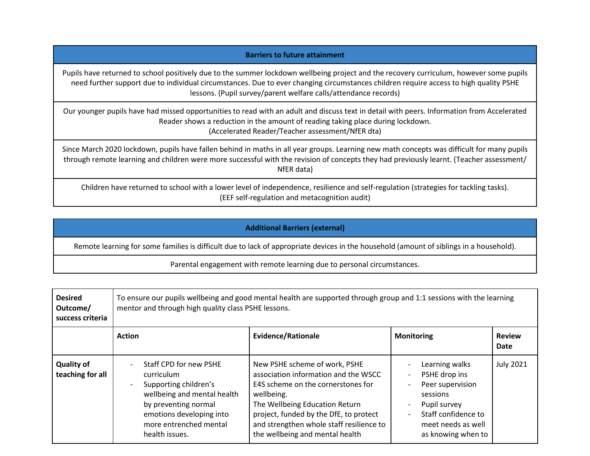## **Barriers to future attainment**

Pupils have returned to school positively due to the summer lockdown wellbeing project and the recovery curriculum, however some pupils need further support due to individual circumstances. Due to ever changing circumstances children require access to high quality PSHE lessons. (Pupil survey/parent welfare calls/attendance records)

Our younger pupils have had missed opportunities to read with an adult and discuss text in detail with peers. Information from Accelerated Reader shows a reduction in the amount of reading taking place during lockdown. (Accelerated Reader/Teacher assessment/NfER dta)

Since March 2020 lockdown, pupils have fallen behind in maths in all year groups. Learning new math concepts was difficult for many pupils through remote learning and children were more successful with the revision of concepts they had previously learnt. (Teacher assessment/ NfER data)

Children have returned to school with a lower level of independence, resilience and self-regulation (strategies for tackling tasks). (EEF self-regulation and metacognition audit)

## **Additional Barriers (external)**

Remote learning for some families is difficult due to lack of appropriate devices in the household (amount of siblings in a household).

Parental engagement with remote learning due to personal circumstances.

| <b>Desired</b><br>Outcome/<br>success criteria | To ensure our pupils wellbeing and good mental health are supported through group and 1:1 sessions with the learning<br>mentor and through high quality class PSHE lessons.                  |                                                                                                                                                                                                                                                                                      |                                                                                                                                                    |                       |
|------------------------------------------------|----------------------------------------------------------------------------------------------------------------------------------------------------------------------------------------------|--------------------------------------------------------------------------------------------------------------------------------------------------------------------------------------------------------------------------------------------------------------------------------------|----------------------------------------------------------------------------------------------------------------------------------------------------|-----------------------|
|                                                | <b>Action</b>                                                                                                                                                                                | <b>Evidence/Rationale</b>                                                                                                                                                                                                                                                            | <b>Monitoring</b>                                                                                                                                  | <b>Review</b><br>Date |
| <b>Quality of</b><br>teaching for all          | Staff CPD for new PSHE<br>curriculum<br>Supporting children's<br>wellbeing and mental health<br>by preventing normal<br>emotions developing into<br>more entrenched mental<br>health issues. | New PSHE scheme of work, PSHE<br>association information and the WSCC<br>E4S scheme on the cornerstones for<br>wellbeing.<br>The Wellbeing Education Return<br>project, funded by the DfE, to protect<br>and strengthen whole staff resilience to<br>the wellbeing and mental health | Learning walks<br>PSHE drop ins<br>Peer supervision<br>sessions<br>Pupil survey<br>Staff confidence to<br>meet needs as well<br>as knowing when to | <b>July 2021</b>      |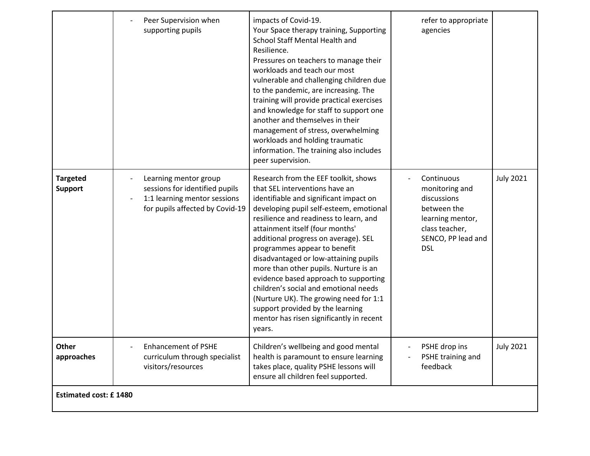|                                   | Peer Supervision when<br>supporting pupils                                                                                 | impacts of Covid-19.<br>Your Space therapy training, Supporting<br>School Staff Mental Health and<br>Resilience.<br>Pressures on teachers to manage their<br>workloads and teach our most<br>vulnerable and challenging children due<br>to the pandemic, are increasing. The<br>training will provide practical exercises<br>and knowledge for staff to support one<br>another and themselves in their<br>management of stress, overwhelming<br>workloads and holding traumatic<br>information. The training also includes<br>peer supervision.                                                                          | refer to appropriate<br>agencies                                                                                                     |                  |
|-----------------------------------|----------------------------------------------------------------------------------------------------------------------------|--------------------------------------------------------------------------------------------------------------------------------------------------------------------------------------------------------------------------------------------------------------------------------------------------------------------------------------------------------------------------------------------------------------------------------------------------------------------------------------------------------------------------------------------------------------------------------------------------------------------------|--------------------------------------------------------------------------------------------------------------------------------------|------------------|
| <b>Targeted</b><br><b>Support</b> | Learning mentor group<br>sessions for identified pupils<br>1:1 learning mentor sessions<br>for pupils affected by Covid-19 | Research from the EEF toolkit, shows<br>that SEL interventions have an<br>identifiable and significant impact on<br>developing pupil self-esteem, emotional<br>resilience and readiness to learn, and<br>attainment itself (four months'<br>additional progress on average). SEL<br>programmes appear to benefit<br>disadvantaged or low-attaining pupils<br>more than other pupils. Nurture is an<br>evidence based approach to supporting<br>children's social and emotional needs<br>(Nurture UK). The growing need for 1:1<br>support provided by the learning<br>mentor has risen significantly in recent<br>years. | Continuous<br>monitoring and<br>discussions<br>between the<br>learning mentor,<br>class teacher,<br>SENCO, PP lead and<br><b>DSL</b> | <b>July 2021</b> |
| Other<br>approaches               | <b>Enhancement of PSHE</b><br>curriculum through specialist<br>visitors/resources                                          | Children's wellbeing and good mental<br>health is paramount to ensure learning<br>takes place, quality PSHE lessons will<br>ensure all children feel supported.                                                                                                                                                                                                                                                                                                                                                                                                                                                          | PSHE drop ins<br>PSHE training and<br>feedback                                                                                       | <b>July 2021</b> |
| <b>Estimated cost: £1480</b>      |                                                                                                                            |                                                                                                                                                                                                                                                                                                                                                                                                                                                                                                                                                                                                                          |                                                                                                                                      |                  |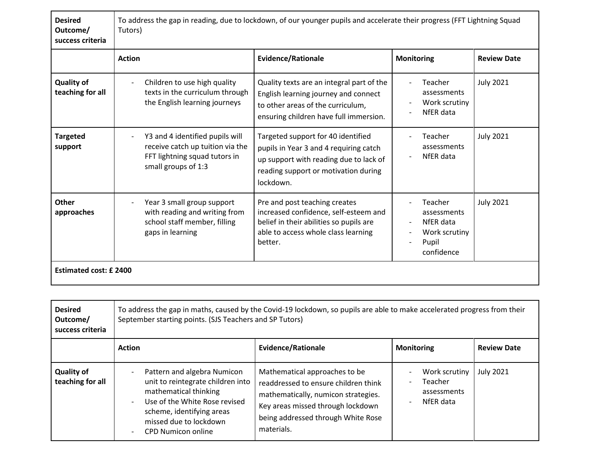| <b>Desired</b><br>Outcome/<br>success criteria | To address the gap in reading, due to lockdown, of our younger pupils and accelerate their progress (FFT Lightning Squad<br>Tutors) |                                                                                                                                                                             |                                                                             |                    |
|------------------------------------------------|-------------------------------------------------------------------------------------------------------------------------------------|-----------------------------------------------------------------------------------------------------------------------------------------------------------------------------|-----------------------------------------------------------------------------|--------------------|
|                                                | <b>Action</b>                                                                                                                       | <b>Evidence/Rationale</b>                                                                                                                                                   | <b>Monitoring</b>                                                           | <b>Review Date</b> |
| <b>Quality of</b><br>teaching for all          | Children to use high quality<br>texts in the curriculum through<br>the English learning journeys                                    | Quality texts are an integral part of the<br>English learning journey and connect<br>to other areas of the curriculum,<br>ensuring children have full immersion.            | Teacher<br>assessments<br>Work scrutiny<br>NfER data                        | <b>July 2021</b>   |
| <b>Targeted</b><br>support                     | Y3 and 4 identified pupils will<br>receive catch up tuition via the<br>FFT lightning squad tutors in<br>small groups of 1:3         | Targeted support for 40 identified<br>pupils in Year 3 and 4 requiring catch<br>up support with reading due to lack of<br>reading support or motivation during<br>lockdown. | Teacher<br>assessments<br>NfER data                                         | <b>July 2021</b>   |
| Other<br>approaches                            | Year 3 small group support<br>with reading and writing from<br>school staff member, filling<br>gaps in learning                     | Pre and post teaching creates<br>increased confidence, self-esteem and<br>belief in their abilities so pupils are<br>able to access whole class learning<br>better.         | Teacher<br>assessments<br>NfER data<br>Work scrutiny<br>Pupil<br>confidence | <b>July 2021</b>   |
| <b>Estimated cost: £2400</b>                   |                                                                                                                                     |                                                                                                                                                                             |                                                                             |                    |

| <b>Desired</b><br>Outcome/<br>success criteria | To address the gap in maths, caused by the Covid-19 lockdown, so pupils are able to make accelerated progress from their<br>September starting points. (SJS Teachers and SP Tutors)                                                                                            |                                                                                                                                                                                                       |                                                      |                    |
|------------------------------------------------|--------------------------------------------------------------------------------------------------------------------------------------------------------------------------------------------------------------------------------------------------------------------------------|-------------------------------------------------------------------------------------------------------------------------------------------------------------------------------------------------------|------------------------------------------------------|--------------------|
|                                                | <b>Action</b>                                                                                                                                                                                                                                                                  | <b>Evidence/Rationale</b>                                                                                                                                                                             | <b>Monitoring</b>                                    | <b>Review Date</b> |
| <b>Quality of</b><br>teaching for all          | Pattern and algebra Numicon<br>$\overline{\phantom{0}}$<br>unit to reintegrate children into<br>mathematical thinking<br>Use of the White Rose revised<br>$\blacksquare$<br>scheme, identifying areas<br>missed due to lockdown<br><b>CPD Numicon online</b><br>$\blacksquare$ | Mathematical approaches to be<br>readdressed to ensure children think<br>mathematically, numicon strategies.<br>Key areas missed through lockdown<br>being addressed through White Rose<br>materials. | Work scrutiny<br>Teacher<br>assessments<br>NfER data | <b>July 2021</b>   |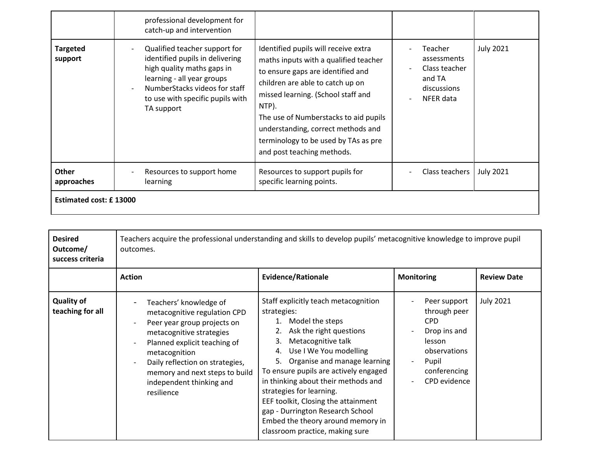|                            | professional development for<br>catch-up and intervention                                                                                                                                                       |                                                                                                                                                                                                                                                                                                                                                            |                                                                               |                  |  |
|----------------------------|-----------------------------------------------------------------------------------------------------------------------------------------------------------------------------------------------------------------|------------------------------------------------------------------------------------------------------------------------------------------------------------------------------------------------------------------------------------------------------------------------------------------------------------------------------------------------------------|-------------------------------------------------------------------------------|------------------|--|
| <b>Targeted</b><br>support | Qualified teacher support for<br>identified pupils in delivering<br>high quality maths gaps in<br>learning - all year groups<br>NumberStacks videos for staff<br>to use with specific pupils with<br>TA support | Identified pupils will receive extra<br>maths inputs with a qualified teacher<br>to ensure gaps are identified and<br>children are able to catch up on<br>missed learning. (School staff and<br>NTP).<br>The use of Numberstacks to aid pupils<br>understanding, correct methods and<br>terminology to be used by TAs as pre<br>and post teaching methods. | Teacher<br>assessments<br>Class teacher<br>and TA<br>discussions<br>NFER data | <b>July 2021</b> |  |
| <b>Other</b><br>approaches | Resources to support home<br>learning                                                                                                                                                                           | Resources to support pupils for<br>specific learning points.                                                                                                                                                                                                                                                                                               | Class teachers                                                                | <b>July 2021</b> |  |
|                            | <b>Estimated cost: £13000</b>                                                                                                                                                                                   |                                                                                                                                                                                                                                                                                                                                                            |                                                                               |                  |  |

| <b>Desired</b><br>Outcome/<br>success criteria | Teachers acquire the professional understanding and skills to develop pupils' metacognitive knowledge to improve pupil<br>outcomes.                                                                                                                                               |                                                                                                                                                                                                                                                                                                                                                                                                                                                                          |                                                                                                                               |                    |
|------------------------------------------------|-----------------------------------------------------------------------------------------------------------------------------------------------------------------------------------------------------------------------------------------------------------------------------------|--------------------------------------------------------------------------------------------------------------------------------------------------------------------------------------------------------------------------------------------------------------------------------------------------------------------------------------------------------------------------------------------------------------------------------------------------------------------------|-------------------------------------------------------------------------------------------------------------------------------|--------------------|
|                                                | <b>Action</b>                                                                                                                                                                                                                                                                     | <b>Evidence/Rationale</b>                                                                                                                                                                                                                                                                                                                                                                                                                                                | <b>Monitoring</b>                                                                                                             | <b>Review Date</b> |
| <b>Quality of</b><br>teaching for all          | Teachers' knowledge of<br>metacognitive regulation CPD<br>Peer year group projects on<br>metacognitive strategies<br>Planned explicit teaching of<br>metacognition<br>Daily reflection on strategies,<br>memory and next steps to build<br>independent thinking and<br>resilience | Staff explicitly teach metacognition<br>strategies:<br>Model the steps<br>1.<br>Ask the right questions<br>Metacognitive talk<br>3.<br>Use I We You modelling<br>4.<br>Organise and manage learning<br>5.<br>To ensure pupils are actively engaged<br>in thinking about their methods and<br>strategies for learning.<br>EEF toolkit, Closing the attainment<br>gap - Durrington Research School<br>Embed the theory around memory in<br>classroom practice, making sure | Peer support<br>through peer<br><b>CPD</b><br>Drop ins and<br>lesson<br>observations<br>Pupil<br>conferencing<br>CPD evidence | <b>July 2021</b>   |